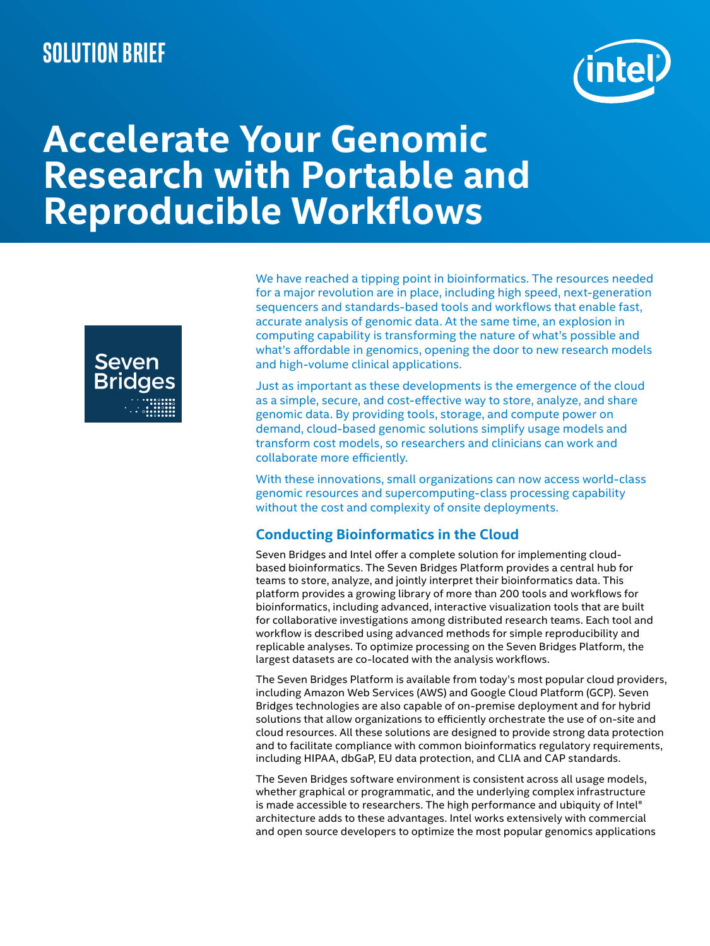# **Solution brief**



# **Accelerate Your Genomic Research with Portable and Reproducible Workflows**



We have reached a tipping point in bioinformatics. The resources needed for a major revolution are in place, including high speed, next-generation sequencers and standards-based tools and workflows that enable fast, accurate analysis of genomic data. At the same time, an explosion in computing capability is transforming the nature of what's possible and what's affordable in genomics, opening the door to new research models and high-volume clinical applications.

Just as important as these developments is the emergence of the cloud as a simple, secure, and cost-effective way to store, analyze, and share genomic data. By providing tools, storage, and compute power on demand, cloud-based genomic solutions simplify usage models and transform cost models, so researchers and clinicians can work and collaborate more efficiently.

With these innovations, small organizations can now access world-class genomic resources and supercomputing-class processing capability without the cost and complexity of onsite deployments.

# **Conducting Bioinformatics in the Cloud**

Seven Bridges and Intel offer a complete solution for implementing cloudbased bioinformatics. The Seven Bridges Platform provides a central hub for teams to store, analyze, and jointly interpret their bioinformatics data. This platform provides a growing library of more than 200 tools and workflows for bioinformatics, including advanced, interactive visualization tools that are built for collaborative investigations among distributed research teams. Each tool and workflow is described using advanced methods for simple reproducibility and replicable analyses. To optimize processing on the Seven Bridges Platform, the largest datasets are co-located with the analysis workflows.

The Seven Bridges Platform is available from today's most popular cloud providers, including Amazon Web Services (AWS) and Google Cloud Platform (GCP). Seven Bridges technologies are also capable of on-premise deployment and for hybrid solutions that allow organizations to efficiently orchestrate the use of on-site and cloud resources. All these solutions are designed to provide strong data protection and to facilitate compliance with common bioinformatics regulatory requirements, including HIPAA, dbGaP, EU data protection, and CLIA and CAP standards.

The Seven Bridges software environment is consistent across all usage models, whether graphical or programmatic, and the underlying complex infrastructure is made accessible to researchers. The high performance and ubiquity of Intel® architecture adds to these advantages. Intel works extensively with commercial and open source developers to optimize the most popular genomics applications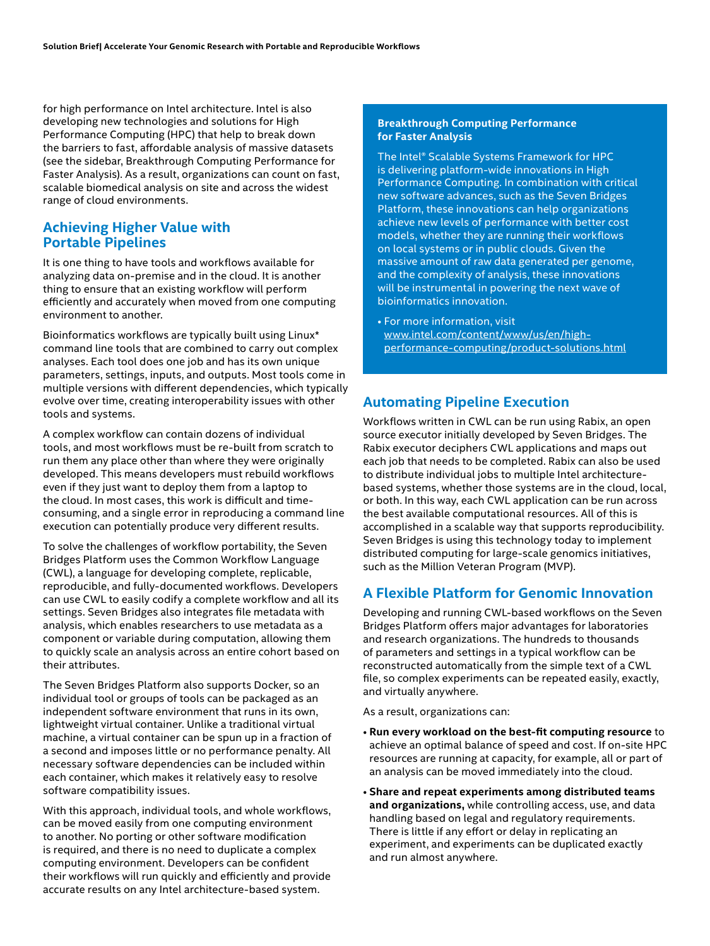for high performance on Intel architecture. Intel is also developing new technologies and solutions for High Performance Computing (HPC) that help to break down the barriers to fast, affordable analysis of massive datasets (see the sidebar, Breakthrough Computing Performance for Faster Analysis). As a result, organizations can count on fast, scalable biomedical analysis on site and across the widest range of cloud environments.

#### **Achieving Higher Value with Portable Pipelines**

It is one thing to have tools and workflows available for analyzing data on-premise and in the cloud. It is another thing to ensure that an existing workflow will perform efficiently and accurately when moved from one computing environment to another.

Bioinformatics workflows are typically built using Linux\* command line tools that are combined to carry out complex analyses. Each tool does one job and has its own unique parameters, settings, inputs, and outputs. Most tools come in multiple versions with different dependencies, which typically evolve over time, creating interoperability issues with other tools and systems.

A complex workflow can contain dozens of individual tools, and most workflows must be re-built from scratch to run them any place other than where they were originally developed. This means developers must rebuild workflows even if they just want to deploy them from a laptop to the cloud. In most cases, this work is difficult and timeconsuming, and a single error in reproducing a command line execution can potentially produce very different results.

To solve the challenges of workflow portability, the Seven Bridges Platform uses the Common Workflow Language (CWL), a language for developing complete, replicable, reproducible, and fully-documented workflows. Developers can use CWL to easily codify a complete workflow and all its settings. Seven Bridges also integrates file metadata with analysis, which enables researchers to use metadata as a component or variable during computation, allowing them to quickly scale an analysis across an entire cohort based on their attributes.

The Seven Bridges Platform also supports Docker, so an individual tool or groups of tools can be packaged as an independent software environment that runs in its own, lightweight virtual container. Unlike a traditional virtual machine, a virtual container can be spun up in a fraction of a second and imposes little or no performance penalty. All necessary software dependencies can be included within each container, which makes it relatively easy to resolve software compatibility issues.

With this approach, individual tools, and whole workflows, can be moved easily from one computing environment to another. No porting or other software modification is required, and there is no need to duplicate a complex computing environment. Developers can be confident their workflows will run quickly and efficiently and provide accurate results on any Intel architecture-based system.

#### **Breakthrough Computing Performance for Faster Analysis**

The Intel® Scalable Systems Framework for HPC is delivering platform-wide innovations in High Performance Computing. In combination with critical new software advances, such as the Seven Bridges Platform, these innovations can help organizations achieve new levels of performance with better cost models, whether they are running their workflows on local systems or in public clouds. Given the massive amount of raw data generated per genome, and the complexity of analysis, these innovations will be instrumental in powering the next wave of bioinformatics innovation.

• For more information, visit [www.intel.com/content/www/us/en/high](http://www.intel.com/content/www/us/en/high-performance-computing/product-solutions.html
)[performance-computing/product-solutions.html](http://www.intel.com/content/www/us/en/high-performance-computing/product-solutions.html
)

### **Automating Pipeline Execution**

Workflows written in CWL can be run using Rabix, an open source executor initially developed by Seven Bridges. The Rabix executor deciphers CWL applications and maps out each job that needs to be completed. Rabix can also be used to distribute individual jobs to multiple Intel architecturebased systems, whether those systems are in the cloud, local, or both. In this way, each CWL application can be run across the best available computational resources. All of this is accomplished in a scalable way that supports reproducibility. Seven Bridges is using this technology today to implement distributed computing for large-scale genomics initiatives, such as the Million Veteran Program (MVP).

# **A Flexible Platform for Genomic Innovation**

Developing and running CWL-based workflows on the Seven Bridges Platform offers major advantages for laboratories and research organizations. The hundreds to thousands of parameters and settings in a typical workflow can be reconstructed automatically from the simple text of a CWL file, so complex experiments can be repeated easily, exactly, and virtually anywhere.

As a result, organizations can:

- **Run every workload on the best-fit computing resource** to achieve an optimal balance of speed and cost. If on-site HPC resources are running at capacity, for example, all or part of an analysis can be moved immediately into the cloud.
- **Share and repeat experiments among distributed teams and organizations,** while controlling access, use, and data handling based on legal and regulatory requirements. There is little if any effort or delay in replicating an experiment, and experiments can be duplicated exactly and run almost anywhere.